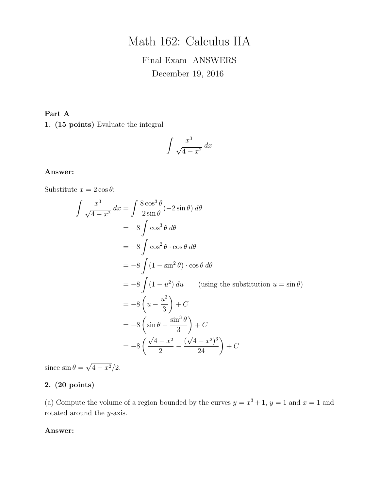# Math 162: Calculus IIA

## Final Exam ANSWERS December 19, 2016

### Part A

1. (15 points) Evaluate the integral

$$
\int \frac{x^3}{\sqrt{4-x^2}} \, dx
$$

#### Answer:

Substitute  $x = 2 \cos \theta$ :

$$
\int \frac{x^3}{\sqrt{4 - x^2}} dx = \int \frac{8 \cos^3 \theta}{2 \sin \theta} (-2 \sin \theta) d\theta
$$
  
= -8 \int \cos^3 \theta d\theta  
= -8 \int \cos^2 \theta \cdot \cos \theta d\theta  
= -8 \int (1 - \sin^2 \theta) \cdot \cos \theta d\theta  
= -8 \int (1 - u^2) du \qquad (using the substitution  $u = \sin \theta$ )  
= -8 \left(u - \frac{u^3}{3}\right) + C  
= -8 \left(\sin \theta - \frac{\sin^3 \theta}{3}\right) + C  
= -8 \left(\frac{\sqrt{4 - x^2}}{2} - \frac{(\sqrt{4 - x^2})^3}{24}\right) + C

since  $\sin \theta =$ √  $\sqrt{4-x^2}/2.$ 

### 2. (20 points)

(a) Compute the volume of a region bounded by the curves  $y = x^3 + 1$ ,  $y = 1$  and  $x = 1$  and rotated around the y-axis.

#### Answer: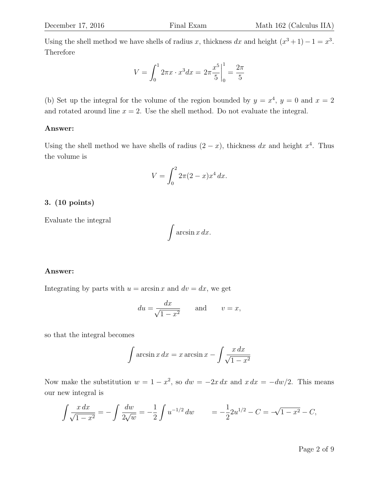Using the shell method we have shells of radius x, thickness dx and height  $(x^3 + 1) - 1 = x^3$ . Therefore

$$
V = \int_0^1 2\pi x \cdot x^3 dx = 2\pi \frac{x^5}{5} \bigg|_0^1 = \frac{2\pi}{5}
$$

(b) Set up the integral for the volume of the region bounded by  $y = x^4$ ,  $y = 0$  and  $x = 2$ and rotated around line  $x = 2$ . Use the shell method. Do not evaluate the integral.

#### Answer:

Using the shell method we have shells of radius  $(2-x)$ , thickness dx and height  $x^4$ . Thus the volume is

$$
V = \int_0^2 2\pi (2 - x) x^4 \, dx.
$$

#### 3. (10 points)

Evaluate the integral

$$
\int \arcsin x \, dx.
$$

#### Answer:

Integrating by parts with  $u = \arcsin x$  and  $dv = dx$ , we get

$$
du = \frac{dx}{\sqrt{1 - x^2}}
$$
 and  $v = x$ ,

so that the integral becomes

$$
\int \arcsin x \, dx = x \arcsin x - \int \frac{x \, dx}{\sqrt{1 - x^2}}
$$

Now make the substitution  $w = 1 - x^2$ , so  $dw = -2x dx$  and  $x dx = -dw/2$ . This means our new integral is

$$
\int \frac{x \, dx}{\sqrt{1 - x^2}} = -\int \frac{dw}{2\sqrt{w}} = -\frac{1}{2} \int u^{-1/2} \, dw \qquad = -\frac{1}{2} 2u^{1/2} - C = -\sqrt{1 - x^2} - C,
$$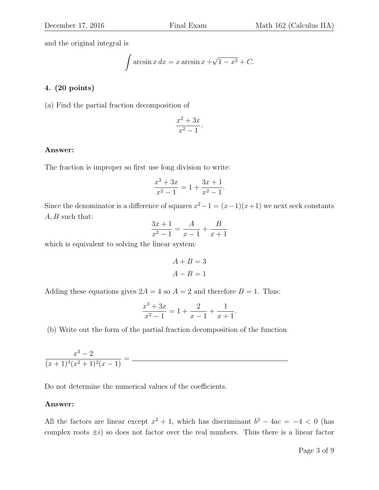and the original integral is

$$
\int \arcsin x \, dx = x \arcsin x + \sqrt{1 - x^2} + C.
$$

#### 4. (20 points)

(a) Find the partial fraction decomposition of

$$
\frac{x^2 + 3x}{x^2 - 1}.
$$

#### Answer:

The fraction is improper so first use long division to write:

$$
\frac{x^3 + 3x}{x^2 - 1} = 1 + \frac{3x + 1}{x^2 - 1}.
$$

Since the denominator is a difference of squares  $x^2 - 1 = (x - 1)(x + 1)$  we next seek constants  $A, B$  such that:

$$
\frac{3x+1}{x^2-1} = \frac{A}{x-1} + \frac{B}{x+1}
$$

which is equivalent to solving the linear system:

$$
A + B = 3
$$

$$
A - B = 1
$$

Adding these equations gives  $2A = 4$  so  $A = 2$  and therefore  $B = 1$ . Thus:

$$
\frac{x^3 + 3x}{x^2 - 1} = 1 + \frac{2}{x - 1} + \frac{1}{x + 1}.
$$

(b) Write out the form of the partial fraction decomposition of the function

$$
\frac{x^3 - 2}{(x+1)^3(x^2+1)^2(x-1)} =
$$

Do not determine the numerical values of the coefficients.

#### Answer:

All the factors are linear except  $x^2 + 1$ , which has discriminant  $b^2 - 4ac = -4 < 0$  (has complex roots  $\pm i$ ) so does not factor over the real numbers. Thus there is a linear factor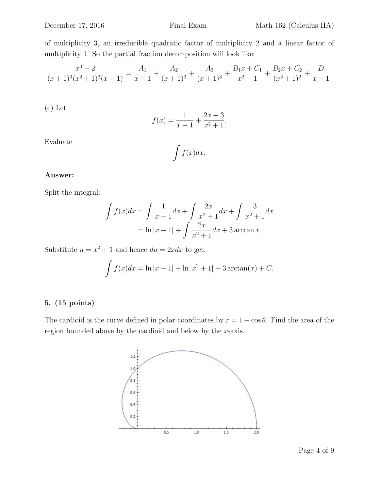of multiplicity 3, an irreducible quadratic factor of multiplicity 2 and a linear factor of multiplicity 1. So the partial fraction decomposition will look like:

$$
\frac{x^3 - 2}{(x+1)^3(x^2+1)^2(x-1)} = \frac{A_1}{x+1} + \frac{A_2}{(x+1)^2} + \frac{A_3}{(x+1)^3} + \frac{B_1x + C_1}{x^2+1} + \frac{B_2x + C_2}{(x^2+1)^2} + \frac{D}{x-1}.
$$

(c) Let

$$
f(x) = \frac{1}{x-1} + \frac{2x+3}{x^2+1}.
$$

Evaluate

$$
\int f(x)dx.
$$

#### Answer:

Split the integral:

$$
\int f(x)dx = \int \frac{1}{x-1}dx + \int \frac{2x}{x^2+1}dx + \int \frac{3}{x^2+1}dx
$$

$$
= \ln|x-1| + \int \frac{2x}{x^2+1}dx + 3\arctan x
$$

Substitute  $u = x^2 + 1$  and hence  $du = 2xdx$  to get:

$$
\int f(x)dx = \ln|x - 1| + \ln|x^2 + 1| + 3\arctan(x) + C.
$$

#### 5. (15 points)

The cardioid is the curve defined in polar coordinates by  $r = 1 + \cos \theta$ . Find the area of the region bounded above by the cardioid and below by the x-axis.

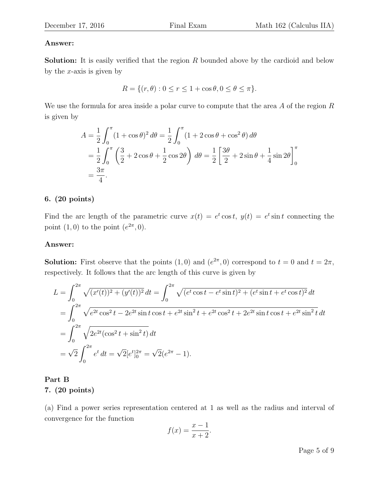### Answer:

**Solution:** It is easily verified that the region  $R$  bounded above by the cardioid and below by the  $x$ -axis is given by

$$
R = \{(r, \theta) : 0 \le r \le 1 + \cos \theta, 0 \le \theta \le \pi\}.
$$

We use the formula for area inside a polar curve to compute that the area  $A$  of the region  $R$ is given by

$$
A = \frac{1}{2} \int_0^{\pi} (1 + \cos \theta)^2 d\theta = \frac{1}{2} \int_0^{\pi} (1 + 2 \cos \theta + \cos^2 \theta) d\theta
$$
  
=  $\frac{1}{2} \int_0^{\pi} (\frac{3}{2} + 2 \cos \theta + \frac{1}{2} \cos 2\theta) d\theta = \frac{1}{2} [\frac{3\theta}{2} + 2 \sin \theta + \frac{1}{4} \sin 2\theta]_0^{\pi}$   
=  $\frac{3\pi}{4}$ .

### 6. (20 points)

Find the arc length of the parametric curve  $x(t) = e^t \cos t$ ,  $y(t) = e^t \sin t$  connecting the point  $(1,0)$  to the point  $(e^{2\pi},0)$ .

#### Answer:

**Solution:** First observe that the points  $(1,0)$  and  $(e^{2\pi},0)$  correspond to  $t=0$  and  $t=2\pi$ , respectively. It follows that the arc length of this curve is given by

$$
L = \int_0^{2\pi} \sqrt{(x'(t))^2 + (y'(t))^2} dt = \int_0^{2\pi} \sqrt{(e^t \cos t - e^t \sin t)^2 + (e^t \sin t + e^t \cos t)^2} dt
$$
  
= 
$$
\int_0^{2\pi} \sqrt{e^{2t} \cos^2 t - 2e^{2t} \sin t \cos t + e^{2t} \sin^2 t + e^{2t} \cos^2 t + 2e^{2t} \sin t \cos t + e^{2t} \sin^2 t} dt
$$
  
= 
$$
\int_0^{2\pi} \sqrt{2e^{2t} (\cos^2 t + \sin^2 t)} dt
$$
  
= 
$$
\sqrt{2} \int_0^{2\pi} e^t dt = \sqrt{2} [e^t]_0^{2\pi} = \sqrt{2} (e^{2\pi} - 1).
$$

Part B 7. (20 points)

(a) Find a power series representation centered at 1 as well as the radius and interval of convergence for the function

$$
f(x) = \frac{x-1}{x+2}.
$$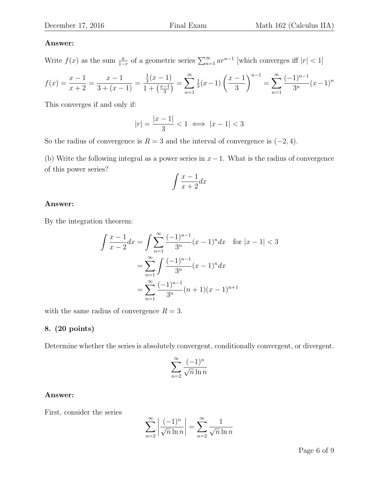#### Answer:

Write  $f(x)$  as the sum  $\frac{a}{1-r}$  of a geometric series  $\sum_{n=1}^{\infty} ar^{n-1}$  [which converges iff  $|r| < 1$ ]

$$
f(x) = \frac{x-1}{x+2} = \frac{x-1}{3+(x-1)} = \frac{\frac{1}{3}(x-1)}{1+\left(\frac{x-1}{3}\right)} = \sum_{n=1}^{\infty} \frac{1}{3}(x-1) \left(\frac{x-1}{3}\right)^{n-1} = \sum_{n=1}^{\infty} \frac{(-1)^{n-1}}{3^n} (x-1)^n
$$

This converges if and only if:

$$
|r| = \frac{|x - 1|}{3} < 1 \iff |x - 1| < 3
$$

So the radius of convergence is  $R = 3$  and the interval of convergence is  $(-2, 4)$ .

(b) Write the following integral as a power series in  $x-1$ . What is the radius of convergence of this power series?

$$
\int \frac{x-1}{x+2} dx
$$

#### Answer:

By the integration theorem:

$$
\int \frac{x-1}{x-2} dx = \int \sum_{n=1}^{\infty} \frac{(-1)^{n-1}}{3^n} (x-1)^n dx \quad \text{for } |x-1| < 3
$$

$$
= \sum_{n=1}^{\infty} \int \frac{(-1)^{n-1}}{3^n} (x-1)^n dx
$$

$$
= \sum_{n=1}^{\infty} \frac{(-1)^{n-1}}{3^n} (n+1)(x-1)^{n+1}
$$

with the same radius of convergence  $R = 3$ .

#### 8. (20 points)

Determine whether the series is absolutely convergent, conditionally convergent, or divergent.

$$
\sum_{n=2}^{\infty} \frac{(-1)^n}{\sqrt{n} \ln n}
$$

#### Answer:

First, consider the series

$$
\sum_{n=2}^{\infty} \left| \frac{(-1)^n}{\sqrt{n} \ln n} \right| = \sum_{n=2}^{\infty} \frac{1}{\sqrt{n} \ln n}
$$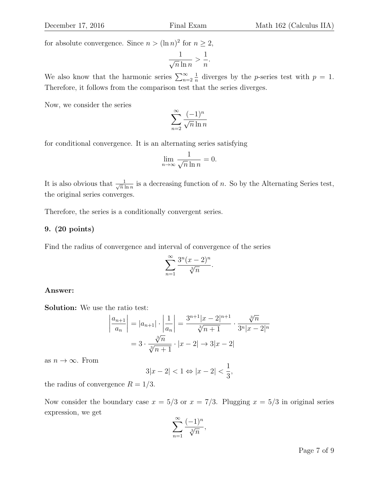for absolute convergence. Since  $n > (\ln n)^2$  for  $n \geq 2$ ,

$$
\frac{1}{\sqrt{n}\ln n} > \frac{1}{n}.
$$

We also know that the harmonic series  $\sum_{n=2}^{\infty}$ 1  $\frac{1}{n}$  diverges by the *p*-series test with  $p = 1$ . Therefore, it follows from the comparison test that the series diverges.

Now, we consider the series

$$
\sum_{n=2}^{\infty} \frac{(-1)^n}{\sqrt{n} \ln n}
$$

for conditional convergence. It is an alternating series satisfying

$$
\lim_{n \to \infty} \frac{1}{\sqrt{n} \ln n} = 0.
$$

It is also obvious that  $\frac{1}{\sqrt{n}}$  $\frac{1}{n \ln n}$  is a decreasing function of n. So by the Alternating Series test, the original series converges.

Therefore, the series is a conditionally convergent series.

#### 9. (20 points)

Find the radius of convergence and interval of convergence of the series

$$
\sum_{n=1}^{\infty} \frac{3^n (x-2)^n}{\sqrt[3]{n}}
$$

.

#### Answer:

Solution: We use the ratio test:

$$
\left| \frac{a_{n+1}}{a_n} \right| = |a_{n+1}| \cdot \left| \frac{1}{a_n} \right| = \frac{3^{n+1} |x - 2|^{n+1}}{\sqrt[3]{n+1}} \cdot \frac{\sqrt[3]{n}}{3^n |x - 2|^n}
$$

$$
= 3 \cdot \frac{\sqrt[3]{n}}{\sqrt[3]{n+1}} \cdot |x - 2| \to 3|x - 2|
$$

as  $n \to \infty$ . From

$$
3|x-2| < 1 \Leftrightarrow |x-2| < \frac{1}{3},
$$

the radius of convergence  $R = 1/3$ .

Now consider the boundary case  $x = 5/3$  or  $x = 7/3$ . Plugging  $x = 5/3$  in original series expression, we get

$$
\sum_{n=1}^{\infty} \frac{(-1)^n}{\sqrt[3]{n}},
$$

Page 7 of 9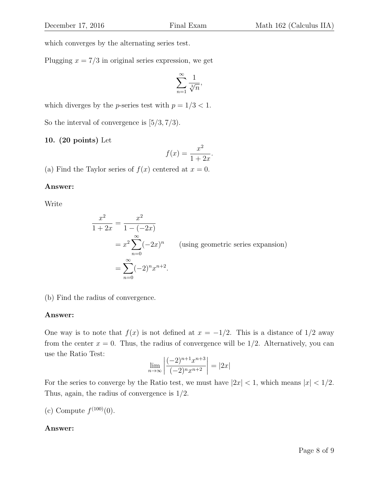which converges by the alternating series test.

Plugging  $x = \frac{7}{3}$  in original series expression, we get

$$
\sum_{n=1}^{\infty} \frac{1}{\sqrt[3]{n}},
$$

which diverges by the *p*-series test with  $p = 1/3 < 1$ .

So the interval of convergence is  $[5/3, 7/3)$ .

#### 10. (20 points) Let

$$
f(x) = \frac{x^2}{1 + 2x}.
$$

(a) Find the Taylor series of  $f(x)$  centered at  $x = 0$ .

#### Answer:

Write

$$
\frac{x^2}{1+2x} = \frac{x^2}{1-(-2x)}
$$
  
=  $x^2 \sum_{n=0}^{\infty} (-2x)^n$  (using geometric series expansion)  
=  $\sum_{n=0}^{\infty} (-2)^n x^{n+2}$ .

(b) Find the radius of convergence.

#### Answer:

One way is to note that  $f(x)$  is not defined at  $x = -1/2$ . This is a distance of 1/2 away from the center  $x = 0$ . Thus, the radius of convergence will be  $1/2$ . Alternatively, you can use the Ratio Test:

$$
\lim_{n \to \infty} \left| \frac{(-2)^{n+1} x^{n+3}}{(-2)^n x^{n+2}} \right| = |2x|
$$

For the series to converge by the Ratio test, we must have  $|2x| < 1$ , which means  $|x| < 1/2$ . Thus, again, the radius of convergence is 1/2.

(c) Compute  $f^{(100)}(0)$ .

#### Answer: